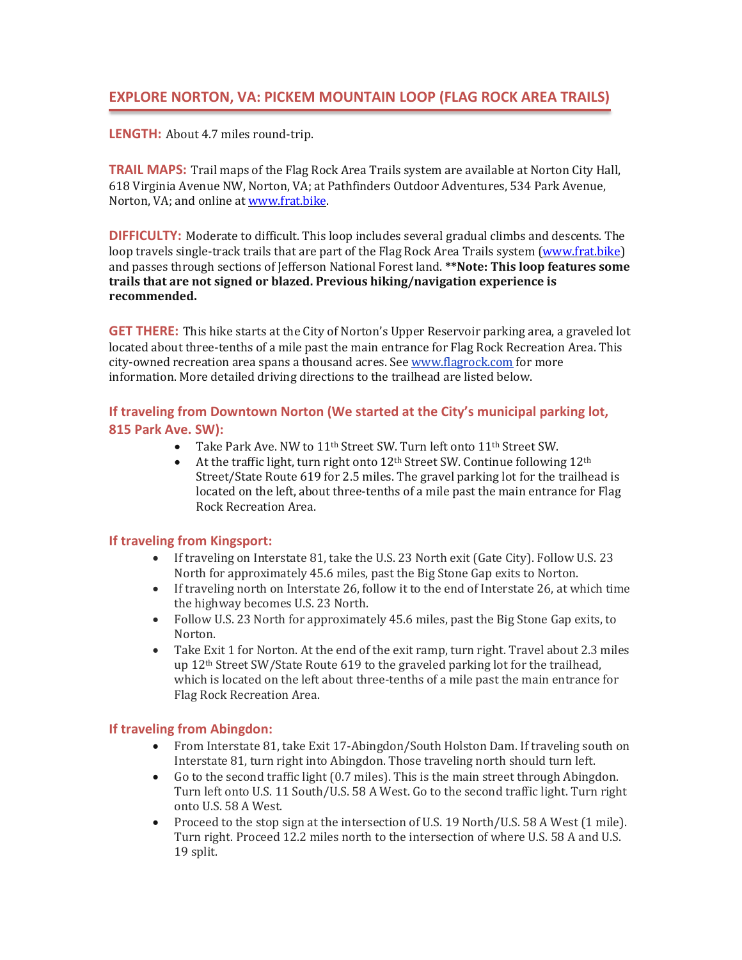**LENGTH:** About 4.7 miles round-trip.

**TRAIL MAPS:** Trail maps of the Flag Rock Area Trails system are available at Norton City Hall, 618 Virginia Avenue NW, Norton, VA; at Pathfinders Outdoor Adventures, 534 Park Avenue, Norton, VA; and online at [www.frat.bike.](http://www.frat.bike/)

**DIFFICULTY:** Moderate to difficult. This loop includes several gradual climbs and descents. The loop travels single-track trails that are part of the Flag Rock Area Trails system [\(www.frat.bike\)](http://www.frat.bike/) and passes through sections of Jefferson National Forest land. **\*\*Note: This loop features some trails that are not signed or blazed. Previous hiking/navigation experience is recommended.**

**GET THERE:** This hike starts at the City of Norton's Upper Reservoir parking area, a graveled lot located about three-tenths of a mile past the main entrance for Flag Rock Recreation Area. This city-owned recreation area spans a thousand acres. Se[e www.flagrock.com](http://www.flagrock.com/) for more information. More detailed driving directions to the trailhead are listed below.

## **If traveling from Downtown Norton (We started at the City's municipal parking lot, 815 Park Ave. SW):**

- Take Park Ave. NW to  $11^{th}$  Street SW. Turn left onto  $11^{th}$  Street SW.<br>• At the traffic light, turn right onto  $12^{th}$  Street SW. Continue following
- At the traffic light, turn right onto 12th Street SW. Continue following 12th Street/State Route 619 for 2.5 miles. The gravel parking lot for the trailhead is located on the left, about three-tenths of a mile past the main entrance for Flag Rock Recreation Area.

## **If traveling from Kingsport:**

- If traveling on Interstate 81, take the U.S. 23 North exit (Gate City). Follow U.S. 23 North for approximately 45.6 miles, past the Big Stone Gap exits to Norton.
- If traveling north on Interstate 26, follow it to the end of Interstate 26, at which time the highway becomes U.S. 23 North.
- Follow U.S. 23 North for approximately 45.6 miles, past the Big Stone Gap exits, to Norton.
- Take Exit 1 for Norton. At the end of the exit ramp, turn right. Travel about 2.3 miles up 12th Street SW/State Route 619 to the graveled parking lot for the trailhead, which is located on the left about three-tenths of a mile past the main entrance for Flag Rock Recreation Area.

## **If traveling from Abingdon:**

- From Interstate 81, take Exit 17-Abingdon/South Holston Dam. If traveling south on Interstate 81, turn right into Abingdon. Those traveling north should turn left.
- Go to the second traffic light (0.7 miles). This is the main street through Abingdon. Turn left onto U.S. 11 South/U.S. 58 A West. Go to the second traffic light. Turn right onto U.S. 58 A West.
- Proceed to the stop sign at the intersection of U.S. 19 North/U.S. 58 A West (1 mile). Turn right. Proceed 12.2 miles north to the intersection of where U.S. 58 A and U.S. 19 split.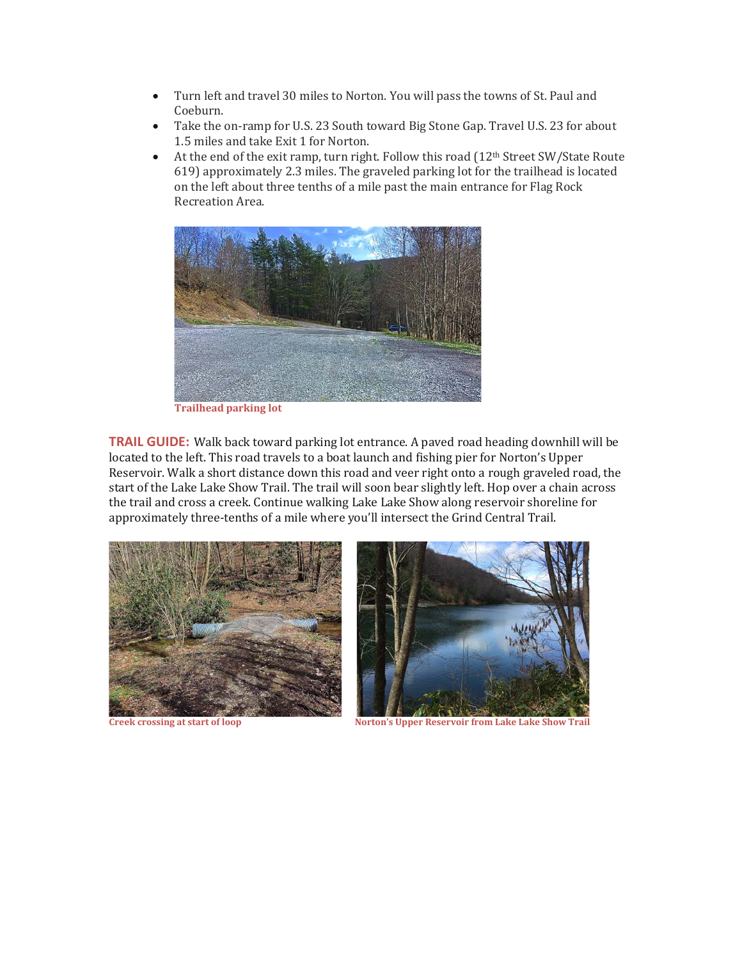- Turn left and travel 30 miles to Norton. You will pass the towns of St. Paul and Coeburn.
- Take the on-ramp for U.S. 23 South toward Big Stone Gap. Travel U.S. 23 for about 1.5 miles and take Exit 1 for Norton.
- At the end of the exit ramp, turn right. Follow this road (12<sup>th</sup> Street SW/State Route 619) approximately 2.3 miles. The graveled parking lot for the trailhead is located on the left about three tenths of a mile past the main entrance for Flag Rock Recreation Area.



**Trailhead parking lot**

**TRAIL GUIDE:** Walk back toward parking lot entrance. A paved road heading downhill will be located to the left. This road travels to a boat launch and fishing pier for Norton's Upper Reservoir. Walk a short distance down this road and veer right onto a rough graveled road, the start of the Lake Lake Show Trail. The trail will soon bear slightly left. Hop over a chain across the trail and cross a creek. Continue walking Lake Lake Show along reservoir shoreline for approximately three-tenths of a mile where you'll intersect the Grind Central Trail.





**Creek crossing at start of loop Norton's Upper Reservoir from Lake Lake Show Trail**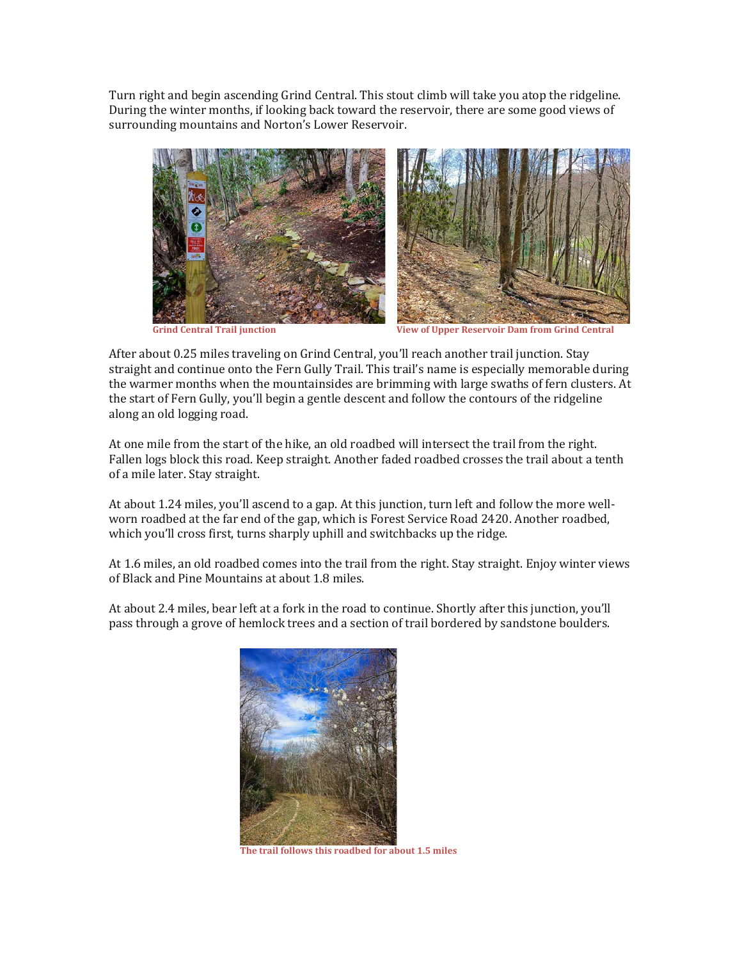Turn right and begin ascending Grind Central. This stout climb will take you atop the ridgeline. During the winter months, if looking back toward the reservoir, there are some good views of surrounding mountains and Norton's Lower Reservoir.



 **Grind Central Trail junction View of Upper Reservoir Dam from Grind Central**

After about 0.25 miles traveling on Grind Central, you'll reach another trail junction. Stay straight and continue onto the Fern Gully Trail. This trail's name is especially memorable during the warmer months when the mountainsides are brimming with large swaths of fern clusters. At the start of Fern Gully, you'll begin a gentle descent and follow the contours of the ridgeline along an old logging road.

At one mile from the start of the hike, an old roadbed will intersect the trail from the right. Fallen logs block this road. Keep straight. Another faded roadbed crosses the trail about a tenth of a mile later. Stay straight.

At about 1.24 miles, you'll ascend to a gap. At this junction, turn left and follow the more wellworn roadbed at the far end of the gap, which is Forest Service Road 2420. Another roadbed, which you'll cross first, turns sharply uphill and switchbacks up the ridge.

At 1.6 miles, an old roadbed comes into the trail from the right. Stay straight. Enjoy winter views of Black and Pine Mountains at about 1.8 miles.

At about 2.4 miles, bear left at a fork in the road to continue. Shortly after this junction, you'll pass through a grove of hemlock trees and a section of trail bordered by sandstone boulders.



**The trail follows this roadbed for about 1.5 miles**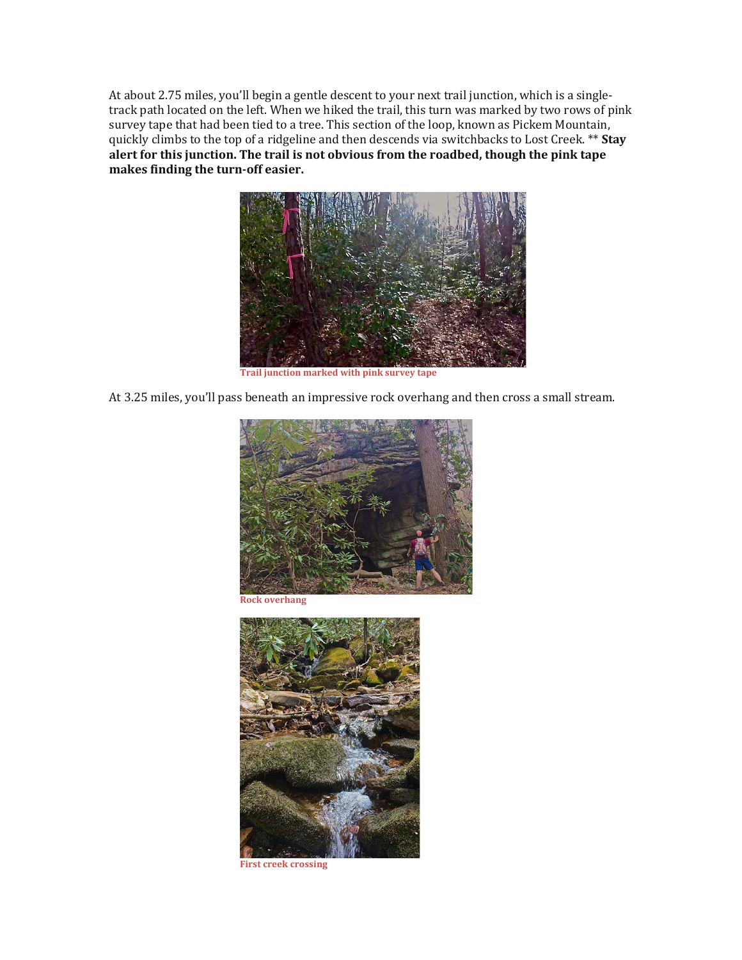At about 2.75 miles, you'll begin a gentle descent to your next trail junction, which is a singletrack path located on the left. When we hiked the trail, this turn was marked by two rows of pink survey tape that had been tied to a tree. This section of the loop, known as Pickem Mountain, quickly climbs to the top of a ridgeline and then descends via switchbacks to Lost Creek. \*\* **Stay alert for this junction. The trail is not obvious from the roadbed, though the pink tape makes finding the turn-off easier.**



**Trail junction marked with pink survey tape**

At 3.25 miles, you'll pass beneath an impressive rock overhang and then cross a small stream.



**Rock overhang**



**First creek crossing**